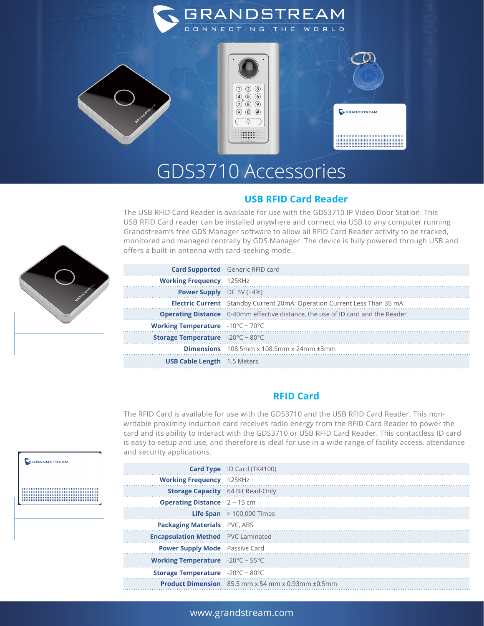

## GDS3710 Accessories

#### **USB RFID Card Reader**

The USB RFID Card Reader is available for use with the GDS3710 IP Video Door Station. This USB RFID Card reader can be installed anywhere and connect via USB to any computer running Grandstream's free GDS Manager software to allow all RFID Card Reader activity to be tracked, monitored and managed centrally by GDS Manager. The device is fully powered through USB and offers a built-in antenna with card-seeking mode.

|                                                              | <b>Card Supported</b> Generic RFID card                                                |
|--------------------------------------------------------------|----------------------------------------------------------------------------------------|
| <b>Working Frequency</b> 125KHz                              |                                                                                        |
| <b>Power Supply</b> $DC 5V (\pm 4\%)$                        |                                                                                        |
|                                                              | <b>Electric Current</b> Standby Current 20mA; Operation Current Less Than 35 mA        |
|                                                              | <b>Operating Distance</b> 0-40mm effective distance, the use of ID card and the Reader |
| <b>Working Temperature</b> $-10^{\circ}$ C ~ 70 $^{\circ}$ C |                                                                                        |
| <b>Storage Temperature</b> $-20^{\circ}$ C ~ 80 $^{\circ}$ C |                                                                                        |
|                                                              | <b>Dimensions</b> $108.5$ mm x $108.5$ mm x $24$ mm $\pm 3$ mm                         |
| <b>USB Cable Length</b> 1.5 Meters                           |                                                                                        |

### **RFID Card**

The RFID Card is available for use with the GDS3710 and the USB RFID Card Reader. This nonwritable proximity induction card receives radio energy from the RFID Card Reader to power the card and its ability to interact with the GDS3710 or USB RFID Card Reader. This contactless ID card is easy to setup and use, and therefore is ideal for use in a wide range of facility access, attendance and security applications.

|                                                            | <b>Card Type</b> ID Card (TK4100)                                             |
|------------------------------------------------------------|-------------------------------------------------------------------------------|
| <b>Working Frequency</b> 125KHz                            |                                                                               |
| <b>Storage Capacity</b> 64 Bit Read-Only                   |                                                                               |
| <b>Operating Distance</b> $2 \sim 15$ cm                   |                                                                               |
|                                                            | <b>Life Span</b> $>$ 100,000 Times                                            |
| <b>Packaging Materials</b> PVC, ABS                        |                                                                               |
| <b>Encapsulation Method</b> PVC Laminated                  |                                                                               |
| <b>Power Supply Mode</b> Passive Card                      |                                                                               |
| <b>Working Temperature</b> $-20^{\circ}C \sim 55^{\circ}C$ |                                                                               |
| <b>Storage Temperature</b> $-20^{\circ}C \sim 80^{\circ}C$ |                                                                               |
|                                                            | <b>Product Dimension</b> $85.5$ mm $\times$ 54 mm $\times$ 0.93mm $\pm$ 0.5mm |



# GRANDSTREAM